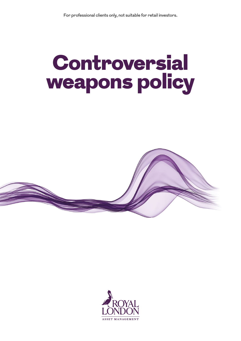# **Controversial** weapons policy



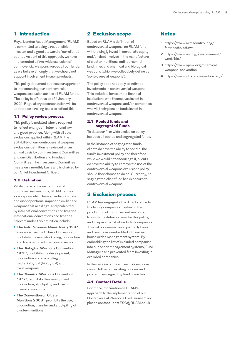# 1 Introduction

Royal London Asset Management (RLAM) is committed to being a responsible investor and a good steward of our client's capital. As part of this approach, we have implemented a firm-wide exclusion of controversial weapons across all our funds, as we believe strongly that we should not support involvement in such products.

This policy document outlines our approach to implementing our controversial weapons exclusion across all RLAM funds. The policy is effective as of 1 January 2021. Regulatory documentation will be updated on a rolling basis to reflect this.

#### 1.1 Policy review process

This policy is updated where required to reflect changes in international law and good practice. Along with all other exclusions applied within RLAM, the suitability of our controversial weapons exclusions definition is reviewed on an annual basis by our Investment Committee and our Distribution and Product Committee. The Investment Committee meets on a monthly basis and is chaired by our Chief Investment Officer.

# 1.2 Definition

While there is no one definition of controversial weapons, RLAM defines it as weapons which have an indiscriminate and disproportional impact on civilians or weapons that are illegal and prohibited by international conventions and treaties. International conventions and treaties relevant under this definition include:

- **• The Anti-Personnel Mines Treaty 1997**<sup>1</sup> , also known as the Ottawa Convention, prohibits the use, stockpiling, production and transfer of anti-personnel mines
- **• The Biological Weapons Convention 1975**<sup>2</sup>, prohibits the development, production and stockpiling of bacteriological (biological) and toxin weapons
- **• The Chemical Weapons Convention 1977**<sup>3</sup>, prohibits the development, production, stockpiling and use of chemical weapons
- **• The Convention on Cluster Munitions 2008**<sup>4</sup>, prohibits the use, production, transfer and stockpiling of cluster munitions

# 2 Exclusion scope

Based on RLAM's definition of controversial weapons, no RLAM fund will knowingly invest in corporate equity and/or debt involved in the manufacture of cluster munitions, anti-personnel landmines and chemical and biological weapons (which we collectively define as 'controversial weapons').

The policy does not apply to indirect investments in controversial weapons. This includes, for example financial institutions who themselves invest in controversial weapons and/or companies who via their pension funds invest in controversial weapons.

#### 2.1 Pooled funds and segregated funds

To date our firm wide exclusion policy includes all pooled and segregated funds.

In the instance of segregated funds, clients do have the ability to control the fund's investment policy and therefore while we would not encourage it, clients do have the ability to remove the use of the controversial weapons exclusions policy should they choose to do so. Currently, no segregated client fund has exposure to controversial weapons.

# 3 Exclusion process

RLAM has engaged a third party provider to identify companies involved in the production of controversial weapons, in line with the definition used in this policy, and prepared a list of excluded companies. This list is reviewed on a quarterly basis and results are embedded into our inhouse order management system. By embedding the list of excluded companies into our order management systems, Fund Managers are prevented from investing in excluded companies.

In the rare instance a breach does occur, we will follow our existing policies and procedures regarding fund breaches.

# 4.1 Contact Details

For more information on RLAM's approach to the implementation of our Controversial Weapons Exclusions Policy, please contact us at: [ESG@RLAM.co.uk](mailto:ESG%40RLAM.co.uk?subject=)

## **Notes**

- **1** [https://www.armscontrol.org/](https://www.armscontrol.org/factsheets/ottawa) [factsheets/ottawa](https://www.armscontrol.org/factsheets/ottawa)
- **2** [https://www.un.org/disarmament/](https://www.un.org/disarmament/wmd/bio/) [wmd/bio/](https://www.un.org/disarmament/wmd/bio/)
- **3** [https://www.opcw.org/chemical](https://www.opcw.org/chemical-weapons-convention)[weapons-convention](https://www.opcw.org/chemical-weapons-convention)
- **4** <https://www.clusterconvention.org/>